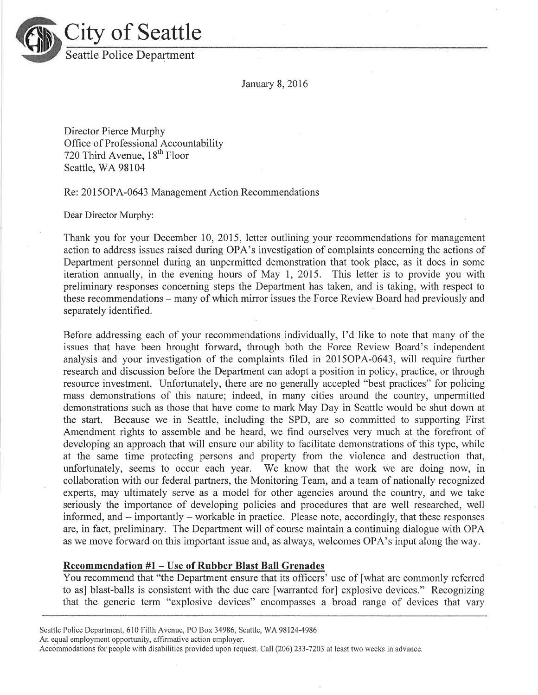

January 8,2016

Director Pierce Murphy Office of Professional Accountability 720 Third Avenue,  $18<sup>th</sup>$  Floor Seattle, WA 98104

Re: 201 5OPA-0643 Management Action Recommendations

Dear Director Murphy:

Thank you for your December 10, 2015, letter outlining your recommendations for management action to address issues raised during OPA's investigation of complaints concerning the actions of Department personnel during an unpermitted demonstration that took place, as it does in some iteration annually, in the evening hours of May l, 2015. This letter is to provide you with preliminary responses concerning steps the Department has taken, and is taking, with respect to these recommendations – many of which mirror issues the Force Review Board had previously and separately identified.

Before addressing each of your recommendations individually, I'd like to note that many of the issues that have been brought forward, through both the Force Review Board's independent analysis and your investigation of the complaints filed in 2015OPA-0643, will require further research and discussion before the Department can adopt a position in policy, practice, or through resource investment. Unfortunately, there are no generally accepted "best practices" for policing mass demonstrations of this nature; indeed, in many cities around the country, unpermitted demonstrations such as those that have come to mark May Day in Seattle would be shut down at the start. Because we in Seattle, including the SPD, are so committed to supporting First Amendment rights to assemble and be heard, we find ourselves very much at the forefront of developing an approach that will ensure our ability to facilitate demonstrations of this type, while at the same time protecting persons and property from the violence and destruction that, unfortunately, seems to occur each year. 'We know that the work we are doing now, in collaboration with our federal partners, the Monitoring Team, and a team of nationally recognized experts, may ultimately serve as a model for other agencies around the country, and we take seriously the importance of developing policies and procedures that are well researched, well informed, and – importantly – workable in practice. Please note, accordingly, that these responses are, in fact, preliminary. The Department will of course maintain a continuing dialogue with OPA as we move forward on this important issue and, as always, welcomes OPA's input along the way.

### Recommendation #1 - Use of Rubber Blast Ball Grenades

You recommend that "the Department ensure that its officers' use of [what are commonly referred to as] blast-balls is consistent with the due care [warranted for] explosive devices." Recognizing that the generic term "explosive devices" encompasses a broad range of devices that vary

Seattle Police Department, 610 Fifth Avenue, PO Box 34986, Seattle, WA 98124-4986

An equal employment opportunity, affirmative action employer.

Accommodations for people with disabilities provided upon request. Call (206) 233-7203 at least two weeks in advance.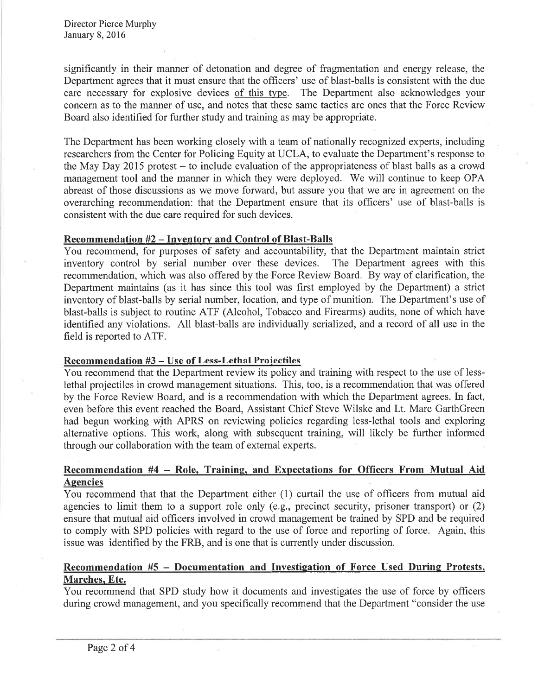significantly in their manner of detonation and degree of fragmentation and energy release, the Department agrees that it must ensure that the officers' use of blast-balls is consistent with the due care necessary for explosive devices of this type. The Department also acknowledges your concern as to the manner of use, and notes that these same tactics are ones that the Force Review Board also identified for further study and training as may be appropriate.

The Department has been working closely with a team of nationally recognized experts, including researchers from the Center for Policing Equity at UCLA, to evaluate the Department's response to the May Day 2015 protest – to include evaluation of the appropriateness of blast balls as a crowd management tool and the manner in which they were deployed. We will continue to keep OPA abreast of those discussions as we move forward, but assure you that we are in agreement on the overarching recommendation: that the Department ensure that its officers' use of blast-balls is consistent with the due care required for such devices.

## Recommendation #2 - Inventorv and Control of Blast-Balls

You recommend, for purposes of safety and accountability, that the Department maintain strict inventory control by serial number over these devices. The Department agrees with this recommendation, which was also offered by the Force Review Board. By way of clarification, the Department maintains (as it has since this tool was first employed by the Department) a strict inventory of blast-balls by serial number, location, and type of munition. The Department's use of blast-balls is subject to routine ATF (Alcohol, Tobacco and Firearms) audits, none of which have identified any violations. All blast-balls are individually serialized, and a record of all use in the field is reported to ATF.

## Recommendation #3 - Use of Less-Lethal Projectiles

You recommend that the Department review its policy and training with respect to the use of lesslethal projectiles in crowd management situations. This, too, is a recommendation that was offered by the Force Review Board, and is a recommendation with which the Department agrees. In fact, even before this event reached the Board, Assistant Chief Steve Wilske and Lt. Marc GarthGreen had begun working with APRS on reviewing policies regarding less-lethal tools and exploring alternative options. This work, along with subsequent training, will likely be further informed through our collaboration with the team of external experts.

## Recommendation #4 - Role. Training. and Expectations for Offïcers From Mutual Aid Agencies

You recommend that that the Department either (1) curtail the use of officers from mutual aid agencies to limit them to a support role only (e.g., precinct security, prisoner transport) or (2) ensure that mutual aid officers involved in crowd management be trained by SPD and be required to comply with SPD policies with regard to the use of force and reporting of force. Again, this issue was identified by the FRB, and is one that is currently under discussion.

# Recommendation #5 - Documentation and Investigation of Force Used During Protests, Marches. Etc.

You recommend that SPD study how it documents and investigates the use of force by officers during crowd management, and you specifically recommend that the Department "consider the use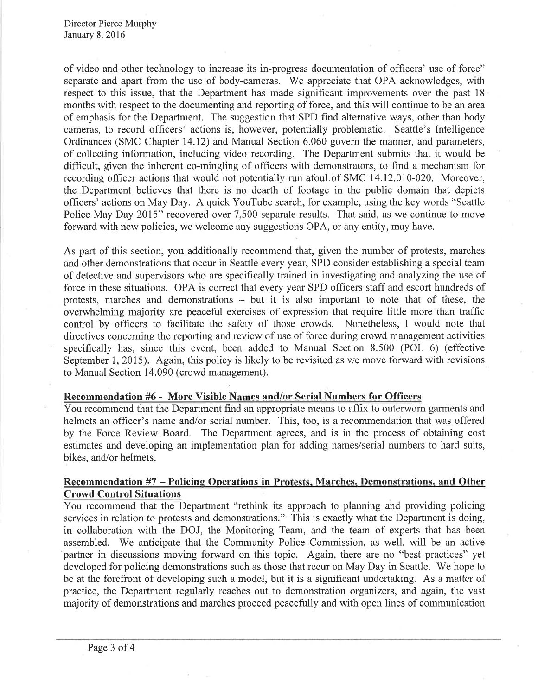Director Pierce Murphy January 8,2016

of video and other technology to increase its in-progress documentation of officers' use of force" separate and apart from the use of body-cameras. We appreciate that OPA acknowledges, with respect to this issue, that the Department has made significant improvements over the past 18 months with respect to the documenting and reporting of force, and this will continue to be an area of emphasis for the Department. The suggestion that SPD find alternative ways, other than body cameras, to record officers' actions is, however, potentially problematic. Seattle's Intelligence Ordinances (SMC Chapter 14.12) and Manual Section 6.060 govern the manner, and parameters, of collecting information, including video recording. The Department submits that it would be difficult, given the inherent co-mingling of officers with demonstrators, to find a mechanism for recording officer actions that would not potentially run afoul.of SMC 14.12.010-020. Moreover, the Department believes that there is no dearth of footage in the public domain that depicts offrcers' actions on May Day. A quick YouTube search, for example, using the key words "Seattle Police May Day 2015" recovered over 7,500 separate results. That said, as we continue to move forward with new policies, we welcome any suggestions OPA, or any entity, may have.

As part of this section, you additionally recommend that, given the number of protests, marches and other demonstrations that occur in Seattle every year, SPD consider establishing a special team of detective and supervisors who are specifically trained in investigating and analyzing the use of force in these situations. OPA is eorrect that every year SPD officers staff and escort hundreds of protests, marches and demonstrations - but it is also important to note that of these, the overwhelming majority are peaceful exercises of expression that require little more than traffrc control by officers to facilitate the safety of those crowds. Nonetheless, I would note that directives concerning the reporting and review of use of force during crowd management activities specifically has, since this event, been added to Manual Section 8.500 (POL 6) (effective September 1, 2015). Again, this policy is likely to be revisited as we move forward with revisions to Manual Section 14.090 (crowd management).

### Recommendation #6 - More Visible Names and/or Serial Numbers for Officers

You recommend that the Department find an appropriate means to affix to outerworn garments and helmets an officer's name and/or serial number. This, too, is a recommendation that was offered by the Force Review Board. The Department agrees, and is in the process of obtaining cost estimates and developing an implementation plan for adding names/serial numbers to hard suits, bikes, and/or helmets.

## Recommendation #7 - Policing Operations in Protests, Marches, Demonstrations, and Other Crowd Control Situations

You recommend that the Department "rethink its approach to planning and providing policing services in relation to protests and demonstrations." This is exactly what the Department is doing, in collaboration with the DOJ, the Monitoring Team, and the team of experts that has been assembled. We anticipate that the Community Police Commission, as well, will be an active partner in discussions moving forward on this topic. Again, there are no "best practices" yet developed for policing demonstrations such as those that recur on May Day in Seattle. We hope to be at the forefront of developing such a model, but it is a significant undertaking. As a matter of practice, the Department regularly reaches out to demonstration organizers, and again, the vast majority of demonstrations and marches proceed peacefully and with open lines of communication